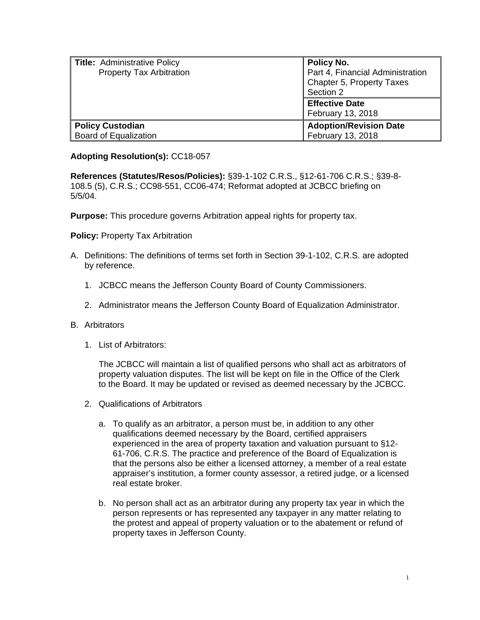| Title: Administrative Policy<br><b>Property Tax Arbitration</b> | Policy No.<br>Part 4, Financial Administration<br>Chapter 5, Property Taxes<br>Section 2 |
|-----------------------------------------------------------------|------------------------------------------------------------------------------------------|
|                                                                 | <b>Effective Date</b><br>February 13, 2018                                               |
| <b>Policy Custodian</b><br>Board of Equalization                | <b>Adoption/Revision Date</b><br>February 13, 2018                                       |

## **Adopting Resolution(s):** CC18-057

**References (Statutes/Resos/Policies):** §39-1-102 C.R.S., §12-61-706 C.R.S.; §39-8- 108.5 (5), C.R.S.; CC98-551, CC06-474; Reformat adopted at JCBCC briefing on 5/5/04.

**Purpose:** This procedure governs Arbitration appeal rights for property tax.

**Policy: Property Tax Arbitration** 

- A. Definitions: The definitions of terms set forth in Section 39-1-102, C.R.S. are adopted by reference.
	- 1. JCBCC means the Jefferson County Board of County Commissioners.
	- 2. Administrator means the Jefferson County Board of Equalization Administrator.
- B. Arbitrators
	- 1. List of Arbitrators:

The JCBCC will maintain a list of qualified persons who shall act as arbitrators of property valuation disputes. The list will be kept on file in the Office of the Clerk to the Board. It may be updated or revised as deemed necessary by the JCBCC.

- 2. Qualifications of Arbitrators
	- a. To qualify as an arbitrator, a person must be, in addition to any other qualifications deemed necessary by the Board, certified appraisers experienced in the area of property taxation and valuation pursuant to §12- 61-706, C.R.S. The practice and preference of the Board of Equalization is that the persons also be either a licensed attorney, a member of a real estate appraiser's institution, a former county assessor, a retired judge, or a licensed real estate broker.
	- b. No person shall act as an arbitrator during any property tax year in which the person represents or has represented any taxpayer in any matter relating to the protest and appeal of property valuation or to the abatement or refund of property taxes in Jefferson County.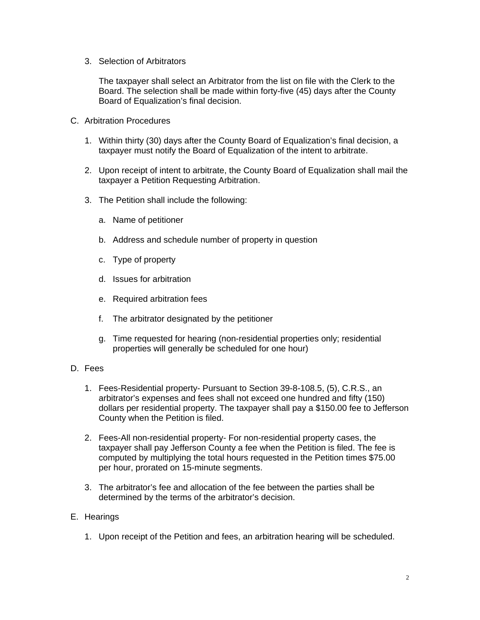3. Selection of Arbitrators

The taxpayer shall select an Arbitrator from the list on file with the Clerk to the Board. The selection shall be made within forty-five (45) days after the County Board of Equalization's final decision.

- C. Arbitration Procedures
	- 1. Within thirty (30) days after the County Board of Equalization's final decision, a taxpayer must notify the Board of Equalization of the intent to arbitrate.
	- 2. Upon receipt of intent to arbitrate, the County Board of Equalization shall mail the taxpayer a Petition Requesting Arbitration.
	- 3. The Petition shall include the following:
		- a. Name of petitioner
		- b. Address and schedule number of property in question
		- c. Type of property
		- d. Issues for arbitration
		- e. Required arbitration fees
		- f. The arbitrator designated by the petitioner
		- g. Time requested for hearing (non-residential properties only; residential properties will generally be scheduled for one hour)
- D. Fees
	- 1. Fees-Residential property- Pursuant to Section 39-8-108.5, (5), C.R.S., an arbitrator's expenses and fees shall not exceed one hundred and fifty (150) dollars per residential property. The taxpayer shall pay a \$150.00 fee to Jefferson County when the Petition is filed.
	- 2. Fees-All non-residential property- For non-residential property cases, the taxpayer shall pay Jefferson County a fee when the Petition is filed. The fee is computed by multiplying the total hours requested in the Petition times \$75.00 per hour, prorated on 15-minute segments.
	- 3. The arbitrator's fee and allocation of the fee between the parties shall be determined by the terms of the arbitrator's decision.

## E. Hearings

1. Upon receipt of the Petition and fees, an arbitration hearing will be scheduled.